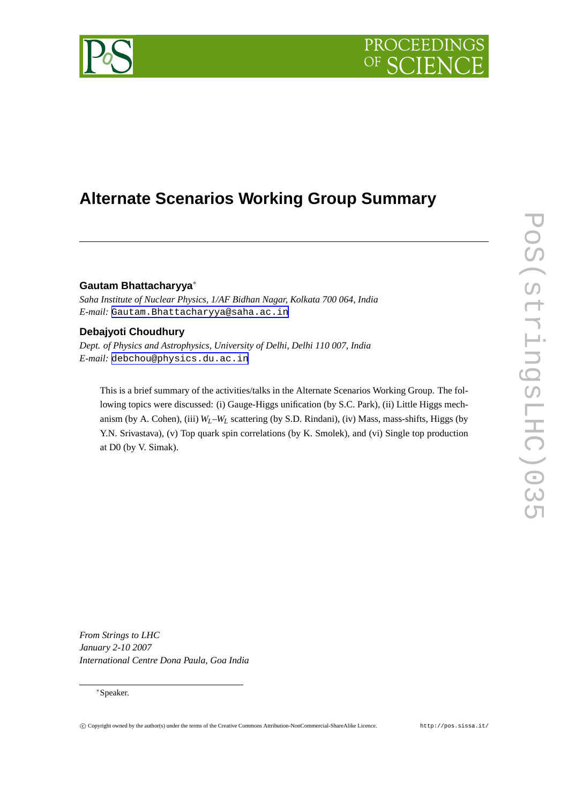# PROCEEDIN



# **Alternate Scenarios Working Group Summary**

# **Gautam Bhattacharyya**∗

*Saha Institute of Nuclear Physics, 1/AF Bidhan Nagar, Kolkata 700 064, India E-mail:* [Gautam.Bhattacharyya@saha.ac.in](mailto:Gautam.Bhattacharyya@saha.ac.in)

# **Debajyoti Choudhury**

*Dept. of Physics and Astrophysics, University of Delhi, Delhi 110 007, India E-mail:* [debchou@physics.du.ac.in](mailto:debchou@physics.du.ac.in)

This is a brief summary of the activities/talks in the Alternate Scenarios Working Group. The following topics were discussed: (i) Gauge-Higgs unification (by S.C. Park), (ii) Little Higgs mechanism (by A. Cohen), (iii) *WL*–*W<sup>L</sup>* scattering (by S.D. Rindani), (iv) Mass, mass-shifts, Higgs (by Y.N. Srivastava), (v) Top quark spin correlations (by K. Smolek), and (vi) Single top production at D0 (by V. Simak).

*From Strings to LHC January 2-10 2007 International Centre Dona Paula, Goa India*

# ∗Speaker.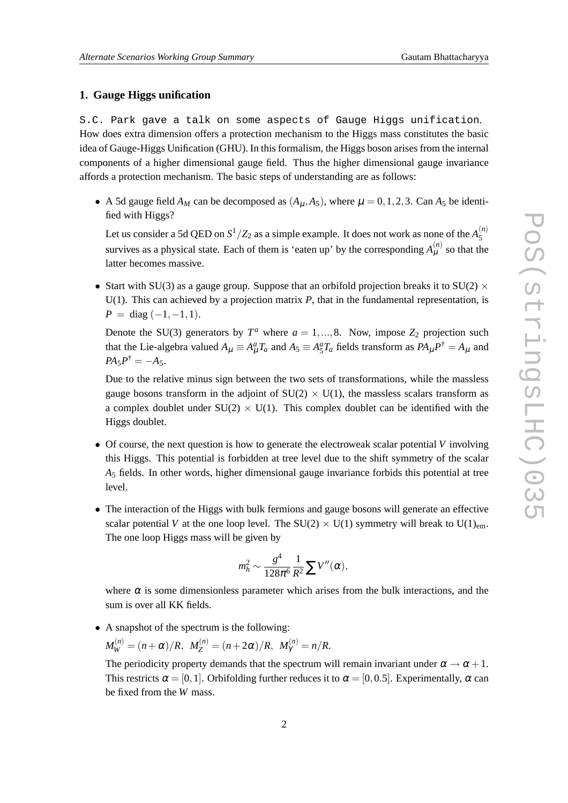# **1. Gauge Higgs unification**

S.C. Park gave a talk on some aspects of Gauge Higgs unification. How does extra dimension offers a protection mechanism to the Higgs mass constitutes the basic idea of Gauge-Higgs Unification (GHU). In this formalism, the Higgs boson arises from the internal components of a higher dimensional gauge field. Thus the higher dimensional gauge invariance affords a protection mechanism. The basic steps of understanding are as follows:

• A 5d gauge field  $A_M$  can be decomposed as  $(A_\mu, A_5)$ , where  $\mu = 0, 1, 2, 3$ . Can  $A_5$  be identified with Higgs?

Let us consider a 5d QED on  $S^1/Z_2$  as a simple example. It does not work as none of the  $A_5^{(n)}$ 5 survives as a physical state. Each of them is 'eaten up' by the corresponding  $A^{(n)}_{\mu}$  so that the latter becomes massive.

• Start with SU(3) as a gauge group. Suppose that an orbifold projection breaks it to SU(2)  $\times$ U(1). This can achieved by a projection matrix *P*, that in the fundamental representation, is  $P = \text{diag}(-1, -1, 1).$ 

Denote the SU(3) generators by  $T^a$  where  $a = 1, ..., 8$ . Now, impose  $Z_2$  projection such that the Lie-algebra valued  $A_\mu \equiv A_\mu^a T_a$  and  $A_5 \equiv A_5^a T_a$  fields transform as  $PA_\mu P^\dagger = A_\mu$  and  $PA_5P^{\dagger} = -A_5.$ 

Due to the relative minus sign between the two sets of transformations, while the massless gauge bosons transform in the adjoint of  $SU(2) \times U(1)$ , the massless scalars transform as a complex doublet under  $SU(2) \times U(1)$ . This complex doublet can be identified with the Higgs doublet.

- Of course, the next question is how to generate the electroweak scalar potential *V* involving this Higgs. This potential is forbidden at tree level due to the shift symmetry of the scalar *A*<sup>5</sup> fields. In other words, higher dimensional gauge invariance forbids this potential at tree level.
- The interaction of the Higgs with bulk fermions and gauge bosons will generate an effective scalar potential *V* at the one loop level. The SU(2)  $\times$  U(1) symmetry will break to U(1)<sub>em</sub>. The one loop Higgs mass will be given by

$$
m_h^2 \sim \frac{g^4}{128\pi^6} \frac{1}{R^2} \sum V''(\alpha),
$$

where  $\alpha$  is some dimensionless parameter which arises from the bulk interactions, and the sum is over all KK fields.

• A snapshot of the spectrum is the following:

$$
M_W^{(n)} = (n+\alpha)/R, M_Z^{(n)} = (n+2\alpha)/R, M_Y^{(n)} = n/R.
$$

The periodicity property demands that the spectrum will remain invariant under  $\alpha \rightarrow \alpha + 1$ . This restricts  $\alpha = [0,1]$ . Orbifolding further reduces it to  $\alpha = [0,0.5]$ . Experimentally,  $\alpha$  can be fixed from the *W* mass.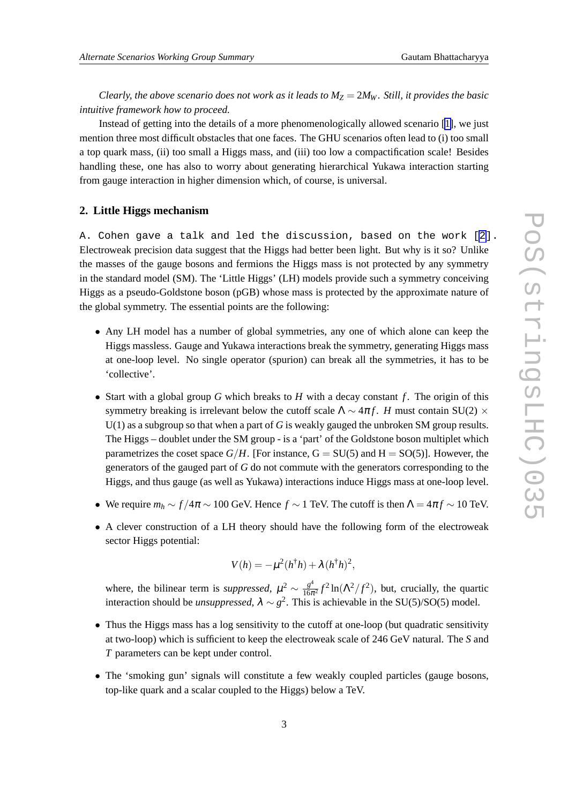*Clearly, the above scenario does not work as it leads to*  $M_Z = 2M_W$ *. Still, it provides the basic intuitive framework how to proceed.*

Instead of getting into the details of a more phenomenologically allowed scenario [\[1\]](#page-6-0), we just mention three most difficult obstacles that one faces. The GHU scenarios often lead to (i) too small a top quark mass, (ii) too small a Higgs mass, and (iii) too low a compactification scale! Besides handling these, one has also to worry about generating hierarchical Yukawa interaction starting from gauge interaction in higher dimension which, of course, is universal.

## **2. Little Higgs mechanism**

A. Cohen gave a talk and led the discussion, based on the work [\[2\]](#page-6-0). Electroweak precision data suggest that the Higgs had better been light. But why is it so? Unlike the masses of the gauge bosons and fermions the Higgs mass is not protected by any symmetry in the standard model (SM). The 'Little Higgs' (LH) models provide such a symmetry conceiving Higgs as a pseudo-Goldstone boson (pGB) whose mass is protected by the approximate nature of the global symmetry. The essential points are the following:

- Any LH model has a number of global symmetries, any one of which alone can keep the Higgs massless. Gauge and Yukawa interactions break the symmetry, generating Higgs mass at one-loop level. No single operator (spurion) can break all the symmetries, it has to be 'collective'.
- Start with a global group *G* which breaks to *H* with a decay constant *f* . The origin of this symmetry breaking is irrelevant below the cutoff scale  $\Lambda \sim 4\pi f$ . *H* must contain SU(2)  $\times$ U(1) as a subgroup so that when a part of *G* is weakly gauged the unbroken SM group results. The Higgs – doublet under the SM group - is a 'part' of the Goldstone boson multiplet which parametrizes the coset space  $G/H$ . [For instance,  $G = SU(5)$  and  $H = SO(5)$ ]. However, the generators of the gauged part of *G* do not commute with the generators corresponding to the Higgs, and thus gauge (as well as Yukawa) interactions induce Higgs mass at one-loop level.
- We require  $m_h \sim f/4\pi \sim 100$  GeV. Hence  $f \sim 1$  TeV. The cutoff is then  $\Lambda = 4\pi f \sim 10$  TeV.
- A clever construction of a LH theory should have the following form of the electroweak sector Higgs potential:

$$
V(h) = -\mu^2(h^{\dagger}h) + \lambda(h^{\dagger}h)^2,
$$

where, the bilinear term is *suppressed*,  $\mu^2 \sim \frac{g^4}{16\pi^2}$  $\frac{g^4}{16\pi^2}f^2\ln(\Lambda^2/f^2)$ , but, crucially, the quartic interaction should be *unsuppressed*,  $\lambda \sim g^2$ . This is achievable in the SU(5)/SO(5) model.

- Thus the Higgs mass has a log sensitivity to the cutoff at one-loop (but quadratic sensitivity at two-loop) which is sufficient to keep the electroweak scale of 246 GeV natural. The *S* and *T* parameters can be kept under control.
- The 'smoking gun' signals will constitute a few weakly coupled particles (gauge bosons, top-like quark and a scalar coupled to the Higgs) below a TeV.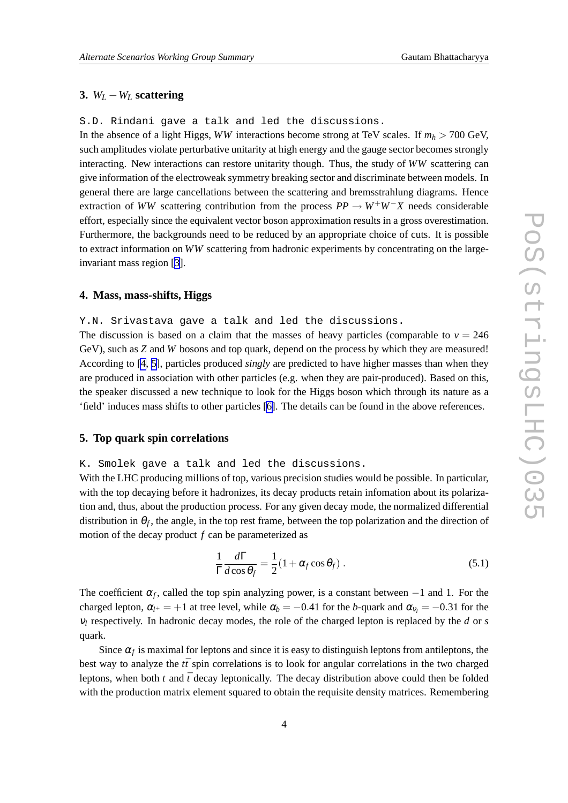# **3.** *W<sup>L</sup>* −*W<sup>L</sup>* **scattering**

S.D. Rindani gave a talk and led the discussions.

In the absence of a light Higgs, *WW* interactions become strong at TeV scales. If  $m_h > 700$  GeV, such amplitudes violate perturbative unitarity at high energy and the gauge sector becomes strongly interacting. New interactions can restore unitarity though. Thus, the study of *WW* scattering can give information of the electroweak symmetry breaking sector and discriminate between models. In general there are large cancellations between the scattering and bremsstrahlung diagrams. Hence extraction of *WW* scattering contribution from the process  $PP \rightarrow W^+W^-X$  needs considerable effort, especially since the equivalent vector boson approximation results in a gross overestimation. Furthermore, the backgrounds need to be reduced by an appropriate choice of cuts. It is possible to extract information on *WW* scattering from hadronic experiments by concentrating on the largeinvariant mass region [[3](#page-6-0)].

# **4. Mass, mass-shifts, Higgs**

Y.N. Srivastava gave a talk and led the discussions.

The discussion is based on a claim that the masses of heavy particles (comparable to  $v = 246$ ) GeV), such as *Z* and *W* bosons and top quark, depend on the process by which they are measured! According to [\[4, 5](#page-6-0)], particles produced *singly* are predicted to have higher masses than when they are produced in association with other particles (e.g. when they are pair-produced). Based on this, the speaker discussed a new technique to look for the Higgs boson which through its nature as a 'field' induces mass shifts to other particles [\[6\]](#page-6-0). The details can be found in the above references.

# **5. Top quark spin correlations**

#### K. Smolek gave a talk and led the discussions.

With the LHC producing millions of top, various precision studies would be possible. In particular, with the top decaying before it hadronizes, its decay products retain infomation about its polarization and, thus, about the production process. For any given decay mode, the normalized differential distribution in  $\theta_f$ , the angle, in the top rest frame, between the top polarization and the direction of motion of the decay product *f* can be parameterized as

$$
\frac{1}{\Gamma} \frac{d\Gamma}{d\cos\theta_f} = \frac{1}{2} (1 + \alpha_f \cos\theta_f) .
$$
 (5.1)

The coefficient  $\alpha_f$ , called the top spin analyzing power, is a constant between  $-1$  and 1. For the charged lepton,  $\alpha_{l^+} = +1$  at tree level, while  $\alpha_b = -0.41$  for the *b*-quark and  $\alpha_{v_l} = -0.31$  for the  $v_l$  respectively. In hadronic decay modes, the role of the charged lepton is replaced by the *d* or *s* quark.

Since  $\alpha_f$  is maximal for leptons and since it is easy to distinguish leptons from antileptons, the best way to analyze the  $t\bar{t}$  spin correlations is to look for angular correlations in the two charged leptons, when both  $t$  and  $\bar{t}$  decay leptonically. The decay distribution above could then be folded with the production matrix element squared to obtain the requisite density matrices. Remembering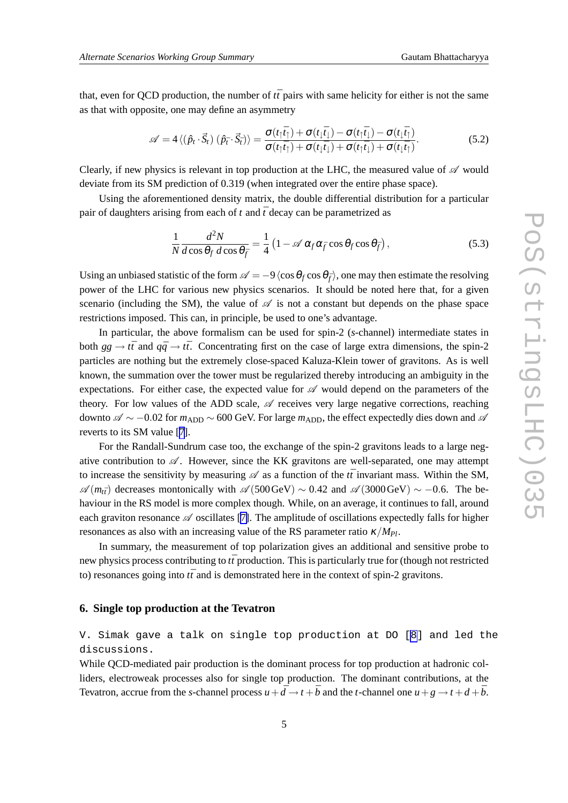that, even for QCD production, the number of *tt*¯ pairs with same helicity for either is not the same as that with opposite, one may define an asymmetry

$$
\mathscr{A} = 4 \langle (\hat{p}_t \cdot \vec{S}_t) (\hat{p}_{\bar{t}} \cdot \vec{S}_{\bar{t}}) \rangle = \frac{\sigma(t_1 \vec{t}_1) + \sigma(t_1 \vec{t}_1) - \sigma(t_1 \vec{t}_1) - \sigma(t_1 \vec{t}_1)}{\sigma(t_1 \vec{t}_1) + \sigma(t_1 \vec{t}_1) + \sigma(t_1 \vec{t}_1) + \sigma(t_1 \vec{t}_1)}.
$$
(5.2)

Clearly, if new physics is relevant in top production at the LHC, the measured value of  $\mathscr A$  would deviate from its SM prediction of 0.319 (when integrated over the entire phase space).

Using the aforementioned density matrix, the double differential distribution for a particular pair of daughters arising from each of  $t$  and  $\bar{t}$  decay can be parametrized as

$$
\frac{1}{N}\frac{d^2N}{d\cos\theta_f\,d\cos\theta_{\bar{f}}} = \frac{1}{4}\left(1 - \mathscr{A}\,\alpha_f\alpha_{\bar{f}}\cos\theta_f\cos\theta_{\bar{f}}\right),\tag{5.3}
$$

Using an unbiased statistic of the form  $\mathscr{A} = -9\langle \cos \theta_f \cos \theta_{\bar{f}} \rangle$ , one may then estimate the resolving power of the LHC for various new physics scenarios. It should be noted here that, for a given scenario (including the SM), the value of  $\mathscr A$  is not a constant but depends on the phase space restrictions imposed. This can, in principle, be used to one's advantage.

In particular, the above formalism can be used for spin-2 (*s*-channel) intermediate states in both  $gg \to t\bar{t}$  and  $q\bar{q} \to t\bar{t}$ . Concentrating first on the case of large extra dimensions, the spin-2 particles are nothing but the extremely close-spaced Kaluza-Klein tower of gravitons. As is well known, the summation over the tower must be regularized thereby introducing an ambiguity in the expectations. For either case, the expected value for  $\mathscr A$  would depend on the parameters of the theory. For low values of the ADD scale,  $\mathscr A$  receives very large negative corrections, reaching downto  $\mathscr{A} \sim -0.02$  for  $m_{ADD} \sim 600$  GeV. For large  $m_{ADD}$ , the effect expectedly dies down and  $\mathscr{A}$ reverts to its SM value [[7](#page-6-0)].

For the Randall-Sundrum case too, the exchange of the spin-2 gravitons leads to a large negative contribution to  $\mathscr A$ . However, since the KK gravitons are well-separated, one may attempt to increase the sensitivity by measuring  $\mathscr A$  as a function of the  $t\bar{t}$  invariant mass. Within the SM,  $\mathscr{A}(m_{\tilde{t}})$  decreases montonically with  $\mathscr{A}(500 \text{GeV}) \sim 0.42$  and  $\mathscr{A}(3000 \text{GeV}) \sim -0.6$ . The behaviour in the RS model is more complex though. While, on an average, it continues to fall, around each graviton resonance  $\mathscr A$  oscillates [\[7\]](#page-6-0). The amplitude of oscillations expectedly falls for higher resonances as also with an increasing value of the RS parameter ratio  $\kappa / M_{Pl}$ .

In summary, the measurement of top polarization gives an additional and sensitive probe to new physics process contributing to  $t\bar{t}$  production. This is particularly true for (though not restricted to) resonances going into  $t\bar{t}$  and is demonstrated here in the context of spin-2 gravitons.

### **6. Single top production at the Tevatron**

V. Simak gave a talk on single top production at DO [\[8\]](#page-6-0) and led the discussions.

While OCD-mediated pair production is the dominant process for top production at hadronic colliders, electroweak processes also for single top production. The dominant contributions, at the Tevatron, accrue from the *s*-channel process  $u + d \rightarrow t + b$  and the *t*-channel one  $u + g \rightarrow t + d + b$ .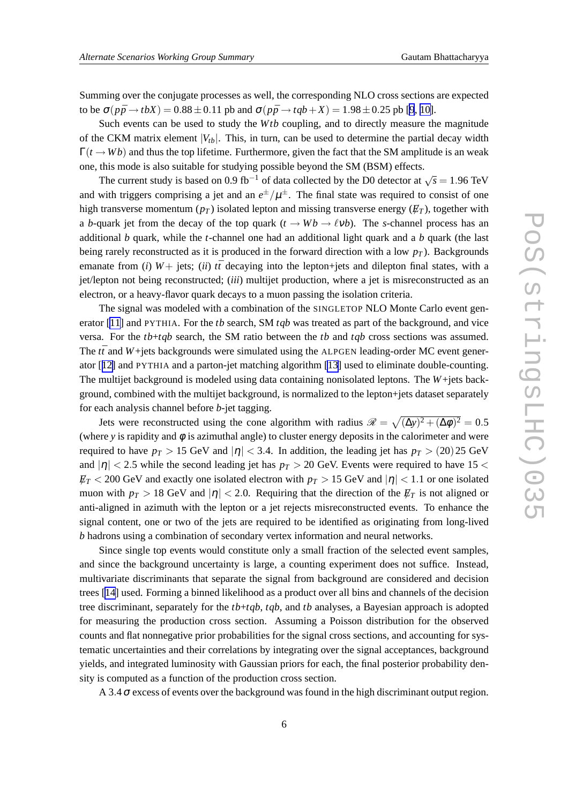Summing over the conjugate processes as well, the corresponding NLO cross sections are expected to be  $\sigma(p\bar{p}\rightarrow tbX) = 0.88 \pm 0.11$  pb and  $\sigma(p\bar{p}\rightarrow tqb+X) = 1.98 \pm 0.25$  $\sigma(p\bar{p}\rightarrow tqb+X) = 1.98 \pm 0.25$  $\sigma(p\bar{p}\rightarrow tqb+X) = 1.98 \pm 0.25$  pb [9, [10\]](#page-6-0).

Such events can be used to study the *Wtb* coupling, and to directly measure the magnitude of the CKM matrix element  $|V_{tb}|$ . This, in turn, can be used to determine the partial decay width  $\Gamma(t \to Wb)$  and thus the top lifetime. Furthermore, given the fact that the SM amplitude is an weak one, this mode is also suitable for studying possible beyond the SM (BSM) effects.

The current study is based on 0.9 fb<sup>-1</sup> of data collected by the D0 detector at  $\sqrt{s} = 1.96$  TeV and with triggers comprising a jet and an  $e^{\pm}/\mu^{\pm}$ . The final state was required to consist of one high transverse momentum  $(p_T)$  isolated lepton and missing transverse energy  $(E_T)$ , together with a *b*-quark jet from the decay of the top quark  $(t \rightarrow Wb \rightarrow \ell \nu b)$ . The *s*-channel process has an additional *b* quark, while the *t*-channel one had an additional light quark and a *b* quark (the last being rarely reconstructed as it is produced in the forward direction with a low  $p_T$ ). Backgrounds emanate from (*i*)  $W$  + jets; (*ii*)  $t\bar{t}$  decaying into the lepton+jets and dilepton final states, with a jet/lepton not being reconstructed; (*iii*) multijet production, where a jet is misreconstructed as an electron, or a heavy-flavor quark decays to a muon passing the isolation criteria.

The signal was modeled with a combination of the SINGLETOP NLO Monte Carlo event generator [\[11](#page-6-0)] and PYTHIA. For the *tb* search, SM *tqb* was treated as part of the background, and vice versa. For the *tb*+*tqb* search, the SM ratio between the *tb* and *tqb* cross sections was assumed. The  $t\bar{t}$  and  $W +$ jets backgrounds were simulated using the ALPGEN leading-order MC event generator [[12\]](#page-6-0) and PYTHIA and a parton-jet matching algorithm [\[13](#page-6-0)] used to eliminate double-counting. The multijet background is modeled using data containing nonisolated leptons. The *W*+jets background, combined with the multijet background, is normalized to the lepton+jets dataset separately for each analysis channel before *b*-jet tagging.

Jets were reconstructed using the cone algorithm with radius  $\mathcal{R} = \sqrt{(\Delta y)^2 + (\Delta \phi)^2} = 0.5$ (where  $y$  is rapidity and  $\phi$  is azimuthal angle) to cluster energy deposits in the calorimeter and were required to have  $p_T > 15$  GeV and  $|\eta| < 3.4$ . In addition, the leading jet has  $p_T > (20)25$  GeV and  $|\eta|$  < 2.5 while the second leading jet has  $p<sub>T</sub> > 20$  GeV. Events were required to have 15 <  $E_T < 200$  GeV and exactly one isolated electron with  $p_T > 15$  GeV and  $|\eta| < 1.1$  or one isolated muon with  $p_T > 18$  GeV and  $|\eta| < 2.0$ . Requiring that the direction of the  $\not\!\!E_T$  is not aligned or anti-aligned in azimuth with the lepton or a jet rejects misreconstructed events. To enhance the signal content, one or two of the jets are required to be identified as originating from long-lived *b* hadrons using a combination of secondary vertex information and neural networks.

Since single top events would constitute only a small fraction of the selected event samples, and since the background uncertainty is large, a counting experiment does not suffice. Instead, multivariate discriminants that separate the signal from background are considered and decision trees [\[14\]](#page-6-0) used. Forming a binned likelihood as a product over all bins and channels of the decision tree discriminant, separately for the *tb*+*tqb*, *tqb*, and *tb* analyses, a Bayesian approach is adopted for measuring the production cross section. Assuming a Poisson distribution for the observed counts and flat nonnegative prior probabilities for the signal cross sections, and accounting for systematic uncertainties and their correlations by integrating over the signal acceptances, background yields, and integrated luminosity with Gaussian priors for each, the final posterior probability density is computed as a function of the production cross section.

A 3.4 $\sigma$  excess of events over the background was found in the high discriminant output region.